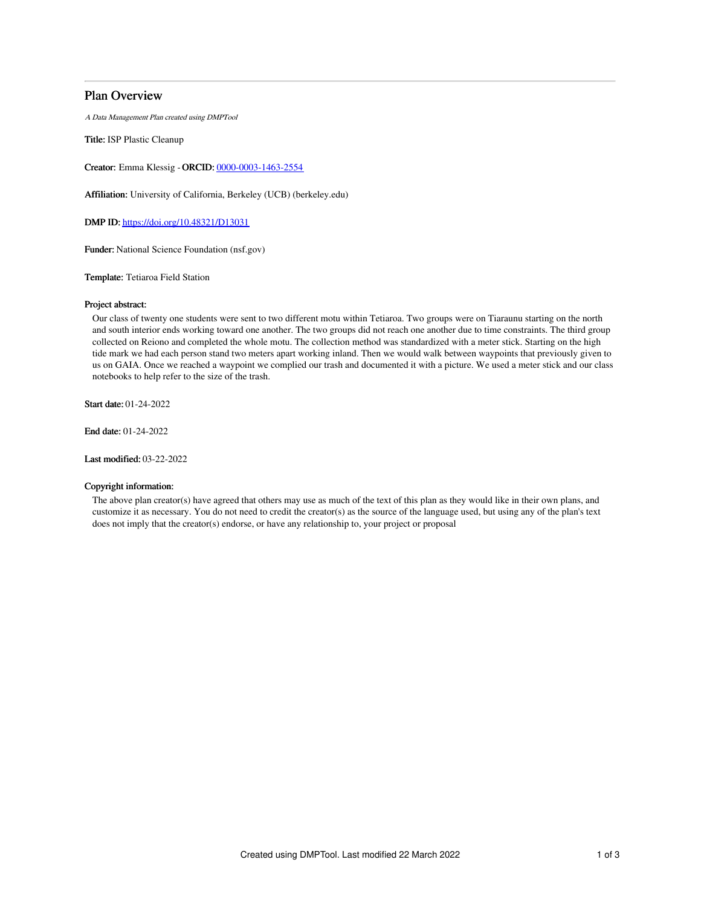# Plan Overview

A Data Management Plan created using DMPTool

Title: ISP Plastic Cleanup

Creator: Emma Klessig -ORCID: [0000-0003-1463-2554](https://orcid.org/0000-0003-1463-2554)

Affiliation: University of California, Berkeley (UCB) (berkeley.edu)

DMP ID: <https://doi.org/10.48321/D13031>

Funder: National Science Foundation (nsf.gov)

Template: Tetiaroa Field Station

### Project abstract:

Our class of twenty one students were sent to two different motu within Tetiaroa. Two groups were on Tiaraunu starting on the north and south interior ends working toward one another. The two groups did not reach one another due to time constraints. The third group collected on Reiono and completed the whole motu. The collection method was standardized with a meter stick. Starting on the high tide mark we had each person stand two meters apart working inland. Then we would walk between waypoints that previously given to us on GAIA. Once we reached a waypoint we complied our trash and documented it with a picture. We used a meter stick and our class notebooks to help refer to the size of the trash.

Start date: 01-24-2022

End date: 01-24-2022

Last modified: 03-22-2022

#### Copyright information:

The above plan creator(s) have agreed that others may use as much of the text of this plan as they would like in their own plans, and customize it as necessary. You do not need to credit the creator(s) as the source of the language used, but using any of the plan's text does not imply that the creator(s) endorse, or have any relationship to, your project or proposal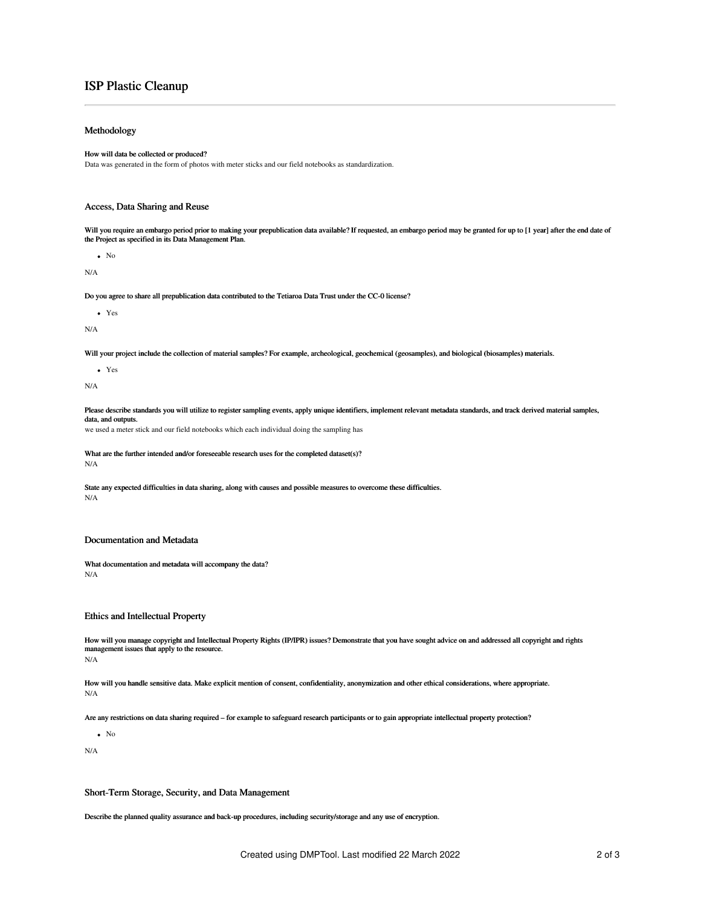# ISP Plastic Cleanup

### Methodology

#### How will data be collected or produced?

Data was generated in the form of photos with meter sticks and our field notebooks as standardization.

## Access, Data Sharing and Reuse

Will you require an embargo period prior to making your prepublication data available? If requested, an embargo period may be granted for up to [1 year] after the end date of<br>the Project as specified in its Data Management

 $\bullet$  No

N/A

Do you agree to share all prepublication data contributed to the Tetiaroa Data Trust under the CC-0 license?

Yes

N/A

Will your project include the collection of material samples? For example, archeological, geochemical (geosamples), and biological (biosamples) materials.

Yes

N/A

Please describe standards you will utilize to register sampling events, apply unique identifiers, implement relevant metadata standards, and track derived material samples, data, and outputs.

we used a meter stick and our field notebooks which each individual doing the sampling has

What are the further intended and/or foreseeable research uses for the completed dataset(s)? N/A

State any expected difficulties in data sharing, along with causes and possible measures to overcome these difficulties. N/A

### Documentation and Metadata

What documentation and metadata will accompany the data? N/A

### Ethics and Intellectual Property

How will you manage copyright and Intellectual Property Rights (IP/IPR) issues? Demonstrate that you have sought advice on and addressed all copyright and rights management issues that apply to the resource. N/A

How will you handle sensitive data. Make explicit mention of consent, confidentiality, anonymization and other ethical considerations, where appropriate. N/A

Are any restrictions on data sharing required – for example to safeguard research participants or to gain appropriate intellectual property protection?

 $\bullet$  No

N/A

Short-Term Storage, Security, and Data Management

Describe the planned quality assurance and back-up procedures, including security/storage and any use of encryption.